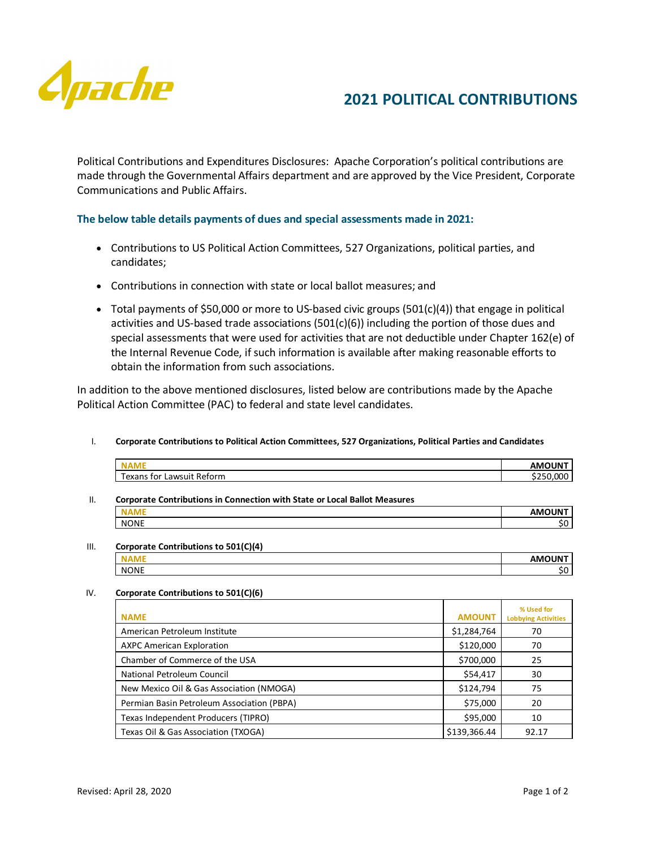

## **2021 POLITICAL CONTRIBUTIONS**

Political Contributions and Expenditures Disclosures: Apache Corporation's political contributions are made through the Governmental Affairs department and are approved by the Vice President, Corporate Communications and Public Affairs.

### **The below table details payments of dues and special assessments made in 2021:**

- Contributions to US Political Action Committees, 527 Organizations, political parties, and candidates;
- Contributions in connection with state or local ballot measures; and
- Total payments of \$50,000 or more to US-based civic groups (501(c)(4)) that engage in political activities and US-based trade associations  $(501(c)(6))$  including the portion of those dues and special assessments that were used for activities that are not deductible under Chapter 162(e) of the Internal Revenue Code, if such information is available after making reasonable efforts to obtain the information from such associations.

In addition to the above mentioned disclosures, listed below are contributions made by the Apache Political Action Committee (PAC) to federal and state level candidates.

#### I. **Corporate Contributions to Political Action Committees, 527 Organizations, Political Parties and Candidates**

| NAML                                  | <b>AMOUNT</b> |
|---------------------------------------|---------------|
| Texans.<br>: Reform<br>tor<br>Lawsuit | nnr           |

# II. **Corporate Contributions in Connection with State or Local Ballot Measures**

|             | <b>AMAIINIT</b><br>IN |
|-------------|-----------------------|
| <b>NONE</b> | . .                   |
|             |                       |

#### III. **Corporate Contributions to 501(C)(4)**

|             | -----<br>.<br>┓ |
|-------------|-----------------|
| <b>NONE</b> |                 |

#### IV. **Corporate Contributions to 501(C)(6)**

| <b>NAME</b>                                | <b>AMOUNT</b> | % Used for<br><b>Lobbying Activities</b> |
|--------------------------------------------|---------------|------------------------------------------|
| American Petroleum Institute               | \$1,284,764   | 70                                       |
| <b>AXPC American Exploration</b>           | \$120,000     | 70                                       |
| Chamber of Commerce of the USA             | \$700,000     | 25                                       |
| National Petroleum Council                 | \$54,417      | 30                                       |
| New Mexico Oil & Gas Association (NMOGA)   | \$124,794     | 75                                       |
| Permian Basin Petroleum Association (PBPA) | \$75,000      | 20                                       |
| Texas Independent Producers (TIPRO)        | \$95,000      | 10                                       |
| Texas Oil & Gas Association (TXOGA)        | \$139,366.44  | 92.17                                    |